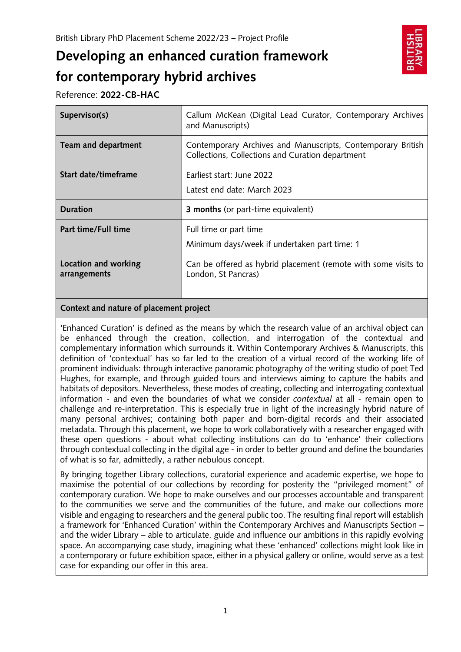# **Developing an enhanced curation framework for contemporary hybrid archives**



Reference: **2022-CB-HAC**

| Supervisor(s)        | Callum McKean (Digital Lead Curator, Contemporary Archives<br>and Manuscripts)                                  |
|----------------------|-----------------------------------------------------------------------------------------------------------------|
| Team and department  | Contemporary Archives and Manuscripts, Contemporary British<br>Collections, Collections and Curation department |
| Start date/timeframe | Farliest start: June 2022<br>Latest end date: March 2023                                                        |
|                      |                                                                                                                 |
| <b>Duration</b>      | <b>3 months</b> (or part-time equivalent)                                                                       |
| Part time/Full time  | Full time or part time<br>Minimum days/week if undertaken part time: 1                                          |

# **Context and nature of placement project**

'Enhanced Curation' is defined as the means by which the research value of an archival object can be enhanced through the creation, collection, and interrogation of the contextual and complementary information which surrounds it. Within Contemporary Archives & Manuscripts, this definition of 'contextual' has so far led to the creation of a virtual record of the working life of prominent individuals: through interactive panoramic photography of the writing studio of poet Ted Hughes, for example, and through guided tours and interviews aiming to capture the habits and habitats of depositors. Nevertheless, these modes of creating, collecting and interrogating contextual information - and even the boundaries of what we consider *contextual* at all *-* remain open to challenge and re-interpretation. This is especially true in light of the increasingly hybrid nature of many personal archives; containing both paper and born-digital records and their associated metadata. Through this placement, we hope to work collaboratively with a researcher engaged with these open questions - about what collecting institutions can do to 'enhance' their collections through contextual collecting in the digital age - in order to better ground and define the boundaries of what is so far, admittedly, a rather nebulous concept.

By bringing together Library collections, curatorial experience and academic expertise, we hope to maximise the potential of our collections by recording for posterity the "privileged moment" of contemporary curation. We hope to make ourselves and our processes accountable and transparent to the communities we serve and the communities of the future, and make our collections more visible and engaging to researchers and the general public too. The resulting final report will establish a framework for 'Enhanced Curation' within the Contemporary Archives and Manuscripts Section – and the wider Library – able to articulate, guide and influence our ambitions in this rapidly evolving space. An accompanying case study, imagining what these 'enhanced' collections might look like in a contemporary or future exhibition space, either in a physical gallery or online, would serve as a test case for expanding our offer in this area.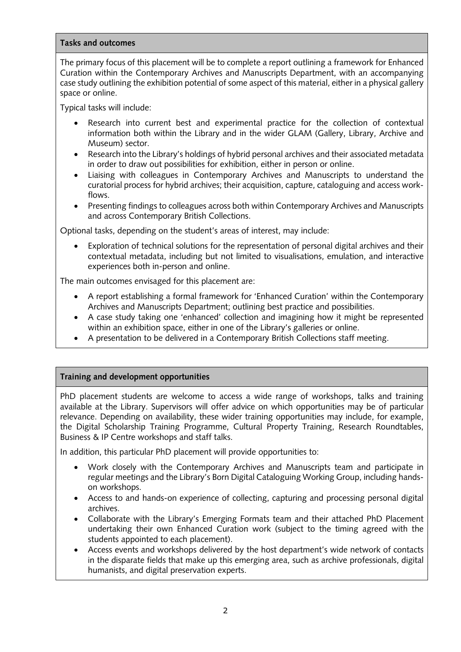#### **Tasks and outcomes**

The primary focus of this placement will be to complete a report outlining a framework for Enhanced Curation within the Contemporary Archives and Manuscripts Department, with an accompanying case study outlining the exhibition potential of some aspect of this material, either in a physical gallery space or online.

Typical tasks will include:

- Research into current best and experimental practice for the collection of contextual information both within the Library and in the wider GLAM (Gallery, Library, Archive and Museum) sector.
- Research into the Library's holdings of hybrid personal archives and their associated metadata in order to draw out possibilities for exhibition, either in person or online.
- Liaising with colleagues in Contemporary Archives and Manuscripts to understand the curatorial process for hybrid archives; their acquisition, capture, cataloguing and access workflows.
- Presenting findings to colleagues across both within Contemporary Archives and Manuscripts and across Contemporary British Collections.

Optional tasks, depending on the student's areas of interest, may include:

• Exploration of technical solutions for the representation of personal digital archives and their contextual metadata, including but not limited to visualisations, emulation, and interactive experiences both in-person and online.

The main outcomes envisaged for this placement are:

- A report establishing a formal framework for 'Enhanced Curation' within the Contemporary Archives and Manuscripts Department; outlining best practice and possibilities.
- A case study taking one 'enhanced' collection and imagining how it might be represented within an exhibition space, either in one of the Library's galleries or online.
- A presentation to be delivered in a Contemporary British Collections staff meeting.

# **Training and development opportunities**

PhD placement students are welcome to access a wide range of workshops, talks and training available at the Library. Supervisors will offer advice on which opportunities may be of particular relevance. Depending on availability, these wider training opportunities may include, for example, the Digital Scholarship Training Programme, Cultural Property Training, Research Roundtables, Business & IP Centre workshops and staff talks.

In addition, this particular PhD placement will provide opportunities to:

- Work closely with the Contemporary Archives and Manuscripts team and participate in regular meetings and the Library's Born Digital Cataloguing Working Group, including handson workshops.
- Access to and hands-on experience of collecting, capturing and processing personal digital archives.
- Collaborate with the Library's Emerging Formats team and their attached PhD Placement undertaking their own Enhanced Curation work (subject to the timing agreed with the students appointed to each placement).
- Access events and workshops delivered by the host department's wide network of contacts in the disparate fields that make up this emerging area, such as archive professionals, digital humanists, and digital preservation experts.